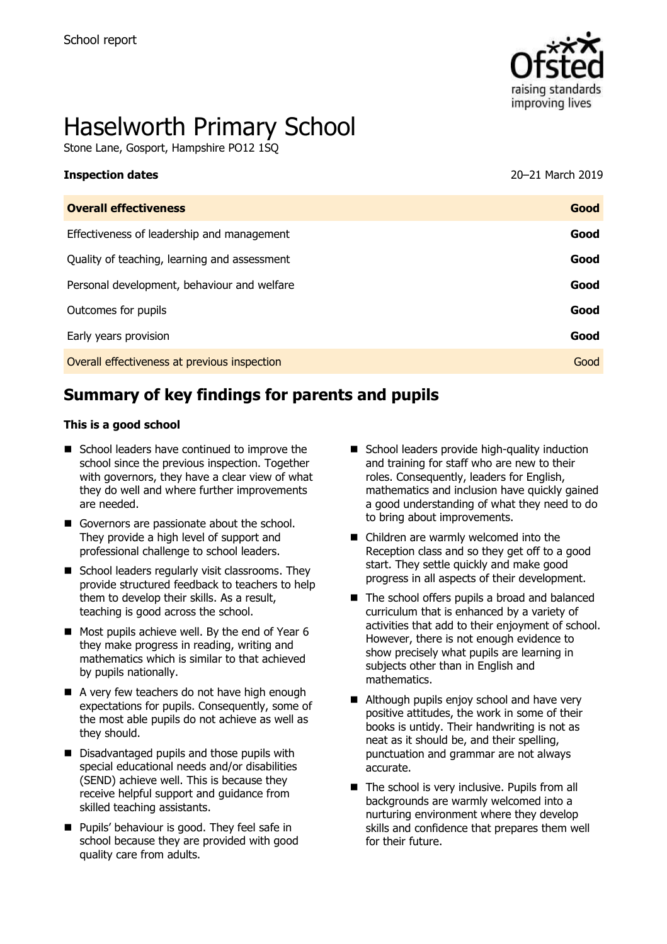

# Haselworth Primary School

Stone Lane, Gosport, Hampshire PO12 1SQ

| <b>Inspection dates</b> | 20-21 March 2019 |
|-------------------------|------------------|
|-------------------------|------------------|

| <b>Overall effectiveness</b>                 | Good |
|----------------------------------------------|------|
| Effectiveness of leadership and management   | Good |
| Quality of teaching, learning and assessment | Good |
| Personal development, behaviour and welfare  | Good |
| Outcomes for pupils                          | Good |
| Early years provision                        | Good |
| Overall effectiveness at previous inspection | Good |
|                                              |      |

# **Summary of key findings for parents and pupils**

#### **This is a good school**

- School leaders have continued to improve the school since the previous inspection. Together with governors, they have a clear view of what they do well and where further improvements are needed.
- Governors are passionate about the school. They provide a high level of support and professional challenge to school leaders.
- School leaders regularly visit classrooms. They provide structured feedback to teachers to help them to develop their skills. As a result, teaching is good across the school.
- $\blacksquare$  Most pupils achieve well. By the end of Year 6 they make progress in reading, writing and mathematics which is similar to that achieved by pupils nationally.
- A very few teachers do not have high enough expectations for pupils. Consequently, some of the most able pupils do not achieve as well as they should.
- Disadvantaged pupils and those pupils with special educational needs and/or disabilities (SEND) achieve well. This is because they receive helpful support and guidance from skilled teaching assistants.
- **Pupils' behaviour is good. They feel safe in** school because they are provided with good quality care from adults.
- School leaders provide high-quality induction and training for staff who are new to their roles. Consequently, leaders for English, mathematics and inclusion have quickly gained a good understanding of what they need to do to bring about improvements.
- Children are warmly welcomed into the Reception class and so they get off to a good start. They settle quickly and make good progress in all aspects of their development.
- The school offers pupils a broad and balanced curriculum that is enhanced by a variety of activities that add to their enjoyment of school. However, there is not enough evidence to show precisely what pupils are learning in subjects other than in English and mathematics.
- Although pupils enjoy school and have very positive attitudes, the work in some of their books is untidy. Their handwriting is not as neat as it should be, and their spelling, punctuation and grammar are not always accurate.
- The school is very inclusive. Pupils from all backgrounds are warmly welcomed into a nurturing environment where they develop skills and confidence that prepares them well for their future.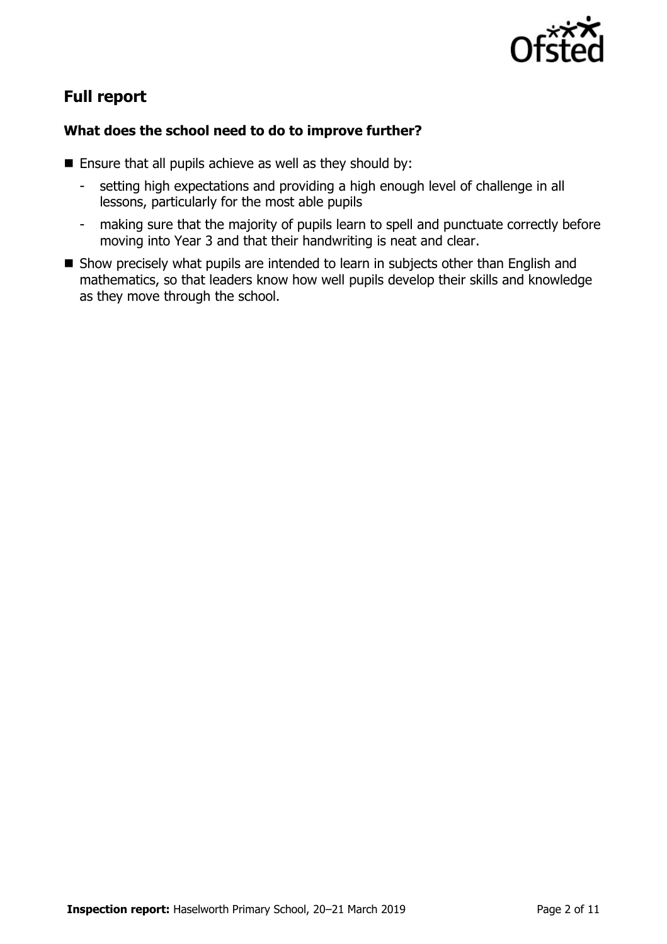

# **Full report**

### **What does the school need to do to improve further?**

- **Ensure that all pupils achieve as well as they should by:** 
	- setting high expectations and providing a high enough level of challenge in all lessons, particularly for the most able pupils
	- making sure that the majority of pupils learn to spell and punctuate correctly before moving into Year 3 and that their handwriting is neat and clear.
- Show precisely what pupils are intended to learn in subjects other than English and mathematics, so that leaders know how well pupils develop their skills and knowledge as they move through the school.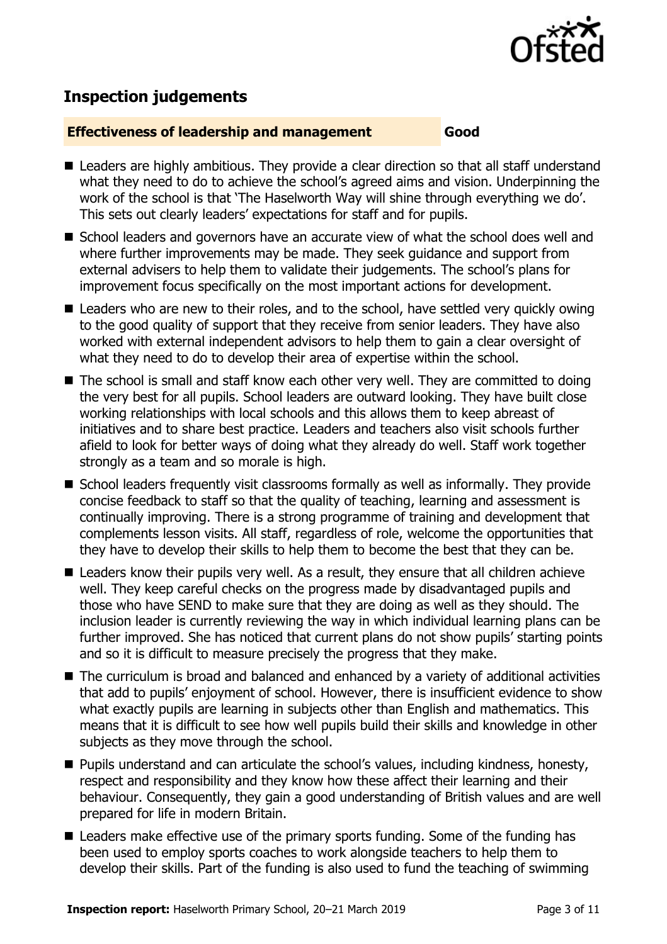

# **Inspection judgements**

#### **Effectiveness of leadership and management Good**

- Leaders are highly ambitious. They provide a clear direction so that all staff understand what they need to do to achieve the school's agreed aims and vision. Underpinning the work of the school is that 'The Haselworth Way will shine through everything we do'. This sets out clearly leaders' expectations for staff and for pupils.
- School leaders and governors have an accurate view of what the school does well and where further improvements may be made. They seek guidance and support from external advisers to help them to validate their judgements. The school's plans for improvement focus specifically on the most important actions for development.
- Leaders who are new to their roles, and to the school, have settled very quickly owing to the good quality of support that they receive from senior leaders. They have also worked with external independent advisors to help them to gain a clear oversight of what they need to do to develop their area of expertise within the school.
- The school is small and staff know each other very well. They are committed to doing the very best for all pupils. School leaders are outward looking. They have built close working relationships with local schools and this allows them to keep abreast of initiatives and to share best practice. Leaders and teachers also visit schools further afield to look for better ways of doing what they already do well. Staff work together strongly as a team and so morale is high.
- School leaders frequently visit classrooms formally as well as informally. They provide concise feedback to staff so that the quality of teaching, learning and assessment is continually improving. There is a strong programme of training and development that complements lesson visits. All staff, regardless of role, welcome the opportunities that they have to develop their skills to help them to become the best that they can be.
- Leaders know their pupils very well. As a result, they ensure that all children achieve well. They keep careful checks on the progress made by disadvantaged pupils and those who have SEND to make sure that they are doing as well as they should. The inclusion leader is currently reviewing the way in which individual learning plans can be further improved. She has noticed that current plans do not show pupils' starting points and so it is difficult to measure precisely the progress that they make.
- The curriculum is broad and balanced and enhanced by a variety of additional activities that add to pupils' enjoyment of school. However, there is insufficient evidence to show what exactly pupils are learning in subjects other than English and mathematics. This means that it is difficult to see how well pupils build their skills and knowledge in other subjects as they move through the school.
- **Pupils understand and can articulate the school's values, including kindness, honesty,** respect and responsibility and they know how these affect their learning and their behaviour. Consequently, they gain a good understanding of British values and are well prepared for life in modern Britain.
- Leaders make effective use of the primary sports funding. Some of the funding has been used to employ sports coaches to work alongside teachers to help them to develop their skills. Part of the funding is also used to fund the teaching of swimming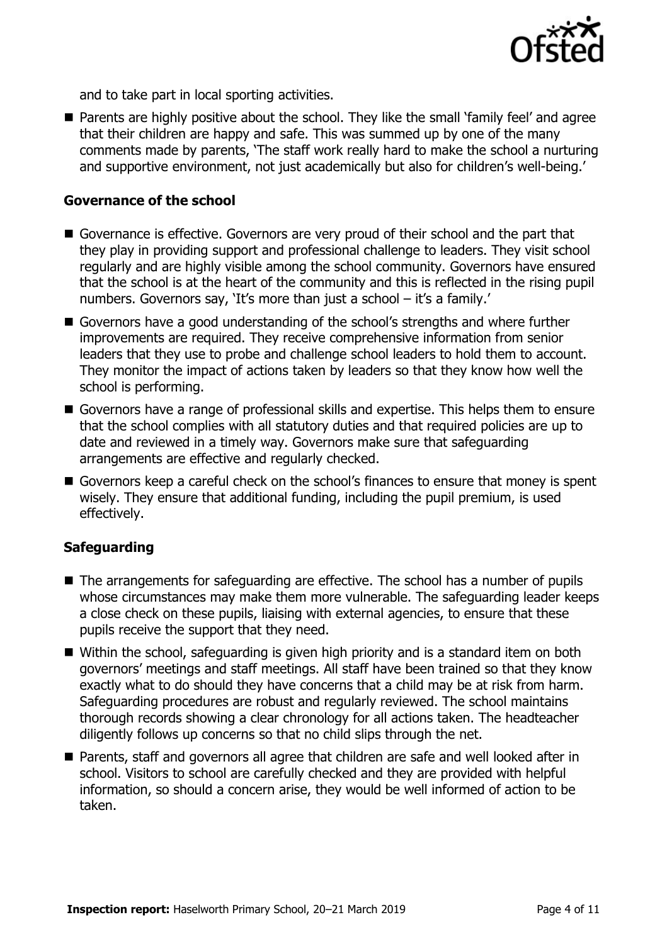

and to take part in local sporting activities.

**Parents are highly positive about the school. They like the small 'family feel' and agree** that their children are happy and safe. This was summed up by one of the many comments made by parents, 'The staff work really hard to make the school a nurturing and supportive environment, not just academically but also for children's well-being.'

#### **Governance of the school**

- Governance is effective. Governors are very proud of their school and the part that they play in providing support and professional challenge to leaders. They visit school regularly and are highly visible among the school community. Governors have ensured that the school is at the heart of the community and this is reflected in the rising pupil numbers. Governors say, 'It's more than just a school – it's a family.'
- Governors have a good understanding of the school's strengths and where further improvements are required. They receive comprehensive information from senior leaders that they use to probe and challenge school leaders to hold them to account. They monitor the impact of actions taken by leaders so that they know how well the school is performing.
- Governors have a range of professional skills and expertise. This helps them to ensure that the school complies with all statutory duties and that required policies are up to date and reviewed in a timely way. Governors make sure that safeguarding arrangements are effective and regularly checked.
- Governors keep a careful check on the school's finances to ensure that money is spent wisely. They ensure that additional funding, including the pupil premium, is used effectively.

#### **Safeguarding**

- The arrangements for safeguarding are effective. The school has a number of pupils whose circumstances may make them more vulnerable. The safeguarding leader keeps a close check on these pupils, liaising with external agencies, to ensure that these pupils receive the support that they need.
- Within the school, safeguarding is given high priority and is a standard item on both governors' meetings and staff meetings. All staff have been trained so that they know exactly what to do should they have concerns that a child may be at risk from harm. Safeguarding procedures are robust and regularly reviewed. The school maintains thorough records showing a clear chronology for all actions taken. The headteacher diligently follows up concerns so that no child slips through the net.
- Parents, staff and governors all agree that children are safe and well looked after in school. Visitors to school are carefully checked and they are provided with helpful information, so should a concern arise, they would be well informed of action to be taken.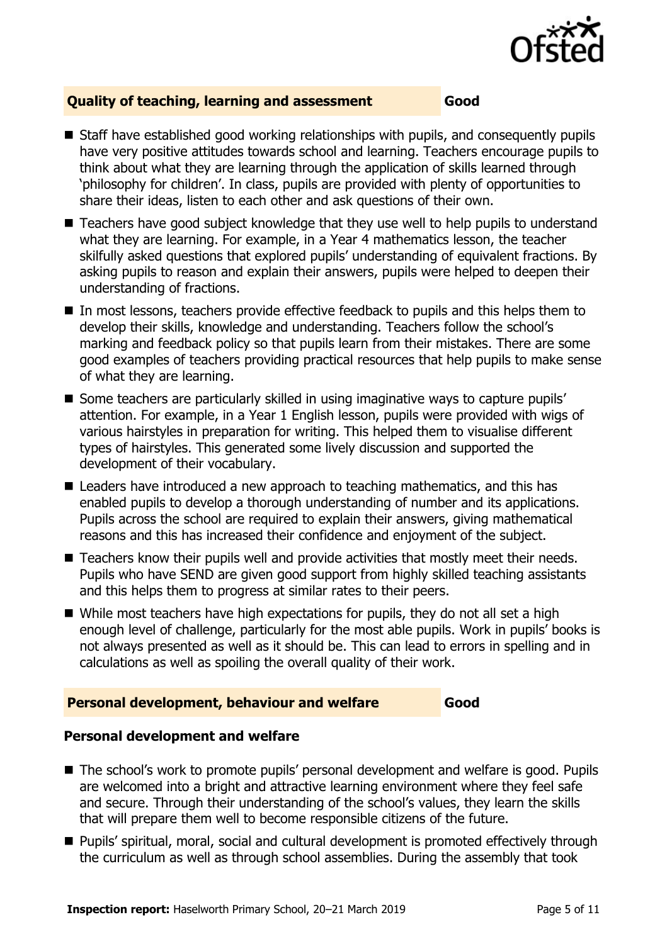

#### **Quality of teaching, learning and assessment Good**

- Staff have established good working relationships with pupils, and consequently pupils have very positive attitudes towards school and learning. Teachers encourage pupils to think about what they are learning through the application of skills learned through 'philosophy for children'. In class, pupils are provided with plenty of opportunities to share their ideas, listen to each other and ask questions of their own.
- Teachers have good subject knowledge that they use well to help pupils to understand what they are learning. For example, in a Year 4 mathematics lesson, the teacher skilfully asked questions that explored pupils' understanding of equivalent fractions. By asking pupils to reason and explain their answers, pupils were helped to deepen their understanding of fractions.
- In most lessons, teachers provide effective feedback to pupils and this helps them to develop their skills, knowledge and understanding. Teachers follow the school's marking and feedback policy so that pupils learn from their mistakes. There are some good examples of teachers providing practical resources that help pupils to make sense of what they are learning.
- Some teachers are particularly skilled in using imaginative ways to capture pupils' attention. For example, in a Year 1 English lesson, pupils were provided with wigs of various hairstyles in preparation for writing. This helped them to visualise different types of hairstyles. This generated some lively discussion and supported the development of their vocabulary.
- Leaders have introduced a new approach to teaching mathematics, and this has enabled pupils to develop a thorough understanding of number and its applications. Pupils across the school are required to explain their answers, giving mathematical reasons and this has increased their confidence and enjoyment of the subject.
- Teachers know their pupils well and provide activities that mostly meet their needs. Pupils who have SEND are given good support from highly skilled teaching assistants and this helps them to progress at similar rates to their peers.
- While most teachers have high expectations for pupils, they do not all set a high enough level of challenge, particularly for the most able pupils. Work in pupils' books is not always presented as well as it should be. This can lead to errors in spelling and in calculations as well as spoiling the overall quality of their work.

#### **Personal development, behaviour and welfare Good**

#### **Personal development and welfare**

- The school's work to promote pupils' personal development and welfare is good. Pupils are welcomed into a bright and attractive learning environment where they feel safe and secure. Through their understanding of the school's values, they learn the skills that will prepare them well to become responsible citizens of the future.
- **Pupils' spiritual, moral, social and cultural development is promoted effectively through** the curriculum as well as through school assemblies. During the assembly that took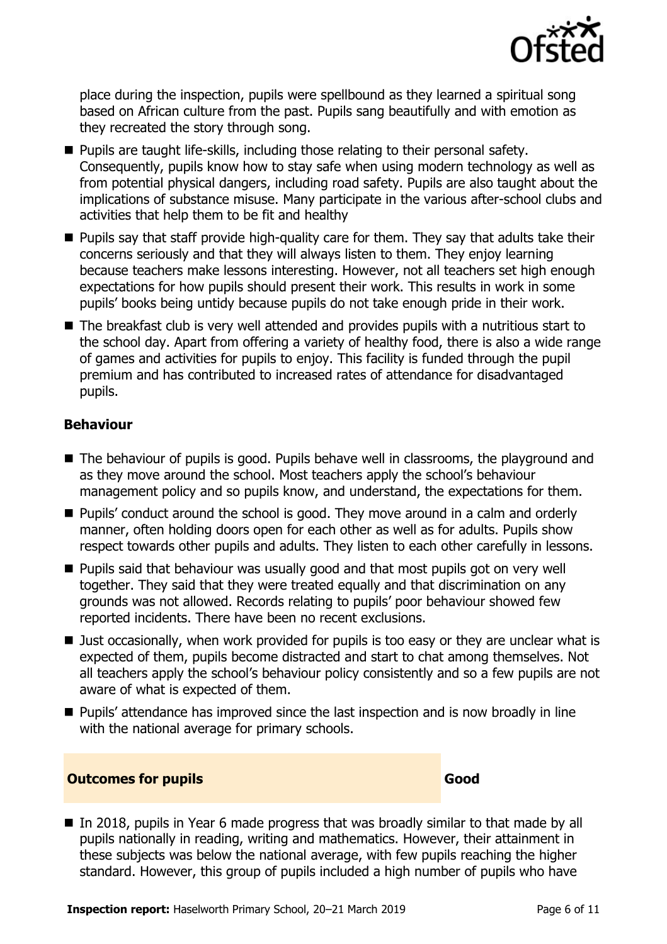

place during the inspection, pupils were spellbound as they learned a spiritual song based on African culture from the past. Pupils sang beautifully and with emotion as they recreated the story through song.

- **Pupils are taught life-skills, including those relating to their personal safety.** Consequently, pupils know how to stay safe when using modern technology as well as from potential physical dangers, including road safety. Pupils are also taught about the implications of substance misuse. Many participate in the various after-school clubs and activities that help them to be fit and healthy
- **Pupils say that staff provide high-quality care for them. They say that adults take their** concerns seriously and that they will always listen to them. They enjoy learning because teachers make lessons interesting. However, not all teachers set high enough expectations for how pupils should present their work. This results in work in some pupils' books being untidy because pupils do not take enough pride in their work.
- The breakfast club is very well attended and provides pupils with a nutritious start to the school day. Apart from offering a variety of healthy food, there is also a wide range of games and activities for pupils to enjoy. This facility is funded through the pupil premium and has contributed to increased rates of attendance for disadvantaged pupils.

#### **Behaviour**

- The behaviour of pupils is good. Pupils behave well in classrooms, the playground and as they move around the school. Most teachers apply the school's behaviour management policy and so pupils know, and understand, the expectations for them.
- Pupils' conduct around the school is good. They move around in a calm and orderly manner, often holding doors open for each other as well as for adults. Pupils show respect towards other pupils and adults. They listen to each other carefully in lessons.
- **Pupils said that behaviour was usually good and that most pupils got on very well** together. They said that they were treated equally and that discrimination on any grounds was not allowed. Records relating to pupils' poor behaviour showed few reported incidents. There have been no recent exclusions.
- Just occasionally, when work provided for pupils is too easy or they are unclear what is expected of them, pupils become distracted and start to chat among themselves. Not all teachers apply the school's behaviour policy consistently and so a few pupils are not aware of what is expected of them.
- Pupils' attendance has improved since the last inspection and is now broadly in line with the national average for primary schools.

#### **Outcomes for pupils Good**

In 2018, pupils in Year 6 made progress that was broadly similar to that made by all pupils nationally in reading, writing and mathematics. However, their attainment in these subjects was below the national average, with few pupils reaching the higher standard. However, this group of pupils included a high number of pupils who have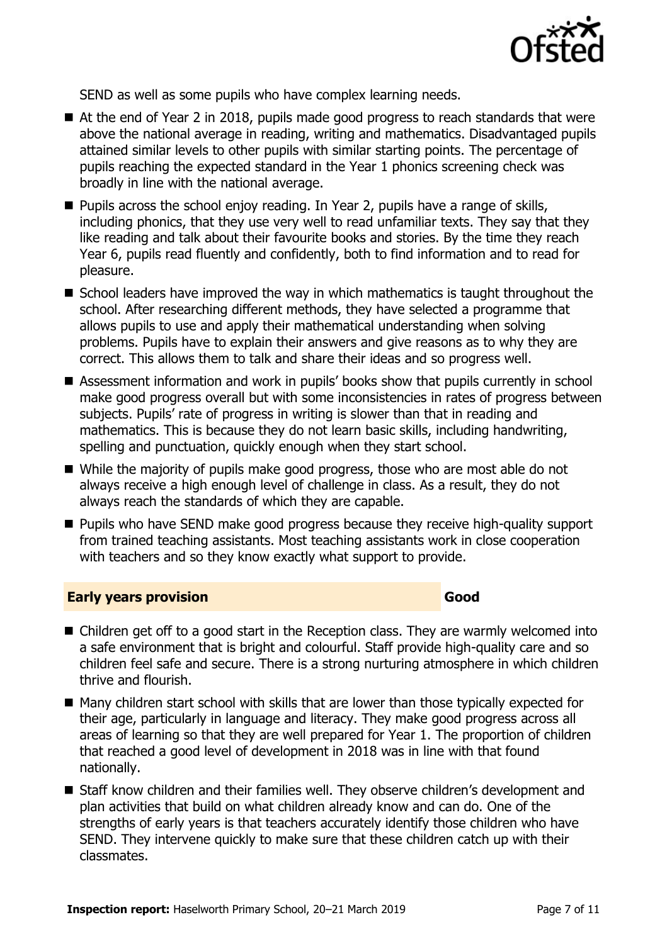

SEND as well as some pupils who have complex learning needs.

- At the end of Year 2 in 2018, pupils made good progress to reach standards that were above the national average in reading, writing and mathematics. Disadvantaged pupils attained similar levels to other pupils with similar starting points. The percentage of pupils reaching the expected standard in the Year 1 phonics screening check was broadly in line with the national average.
- $\blacksquare$  Pupils across the school enjoy reading. In Year 2, pupils have a range of skills, including phonics, that they use very well to read unfamiliar texts. They say that they like reading and talk about their favourite books and stories. By the time they reach Year 6, pupils read fluently and confidently, both to find information and to read for pleasure.
- School leaders have improved the way in which mathematics is taught throughout the school. After researching different methods, they have selected a programme that allows pupils to use and apply their mathematical understanding when solving problems. Pupils have to explain their answers and give reasons as to why they are correct. This allows them to talk and share their ideas and so progress well.
- Assessment information and work in pupils' books show that pupils currently in school make good progress overall but with some inconsistencies in rates of progress between subjects. Pupils' rate of progress in writing is slower than that in reading and mathematics. This is because they do not learn basic skills, including handwriting, spelling and punctuation, quickly enough when they start school.
- While the majority of pupils make good progress, those who are most able do not always receive a high enough level of challenge in class. As a result, they do not always reach the standards of which they are capable.
- **Pupils who have SEND make good progress because they receive high-quality support** from trained teaching assistants. Most teaching assistants work in close cooperation with teachers and so they know exactly what support to provide.

#### **Early years provision Good Good**

- Children get off to a good start in the Reception class. They are warmly welcomed into a safe environment that is bright and colourful. Staff provide high-quality care and so children feel safe and secure. There is a strong nurturing atmosphere in which children thrive and flourish.
- Many children start school with skills that are lower than those typically expected for their age, particularly in language and literacy. They make good progress across all areas of learning so that they are well prepared for Year 1. The proportion of children that reached a good level of development in 2018 was in line with that found nationally.
- Staff know children and their families well. They observe children's development and plan activities that build on what children already know and can do. One of the strengths of early years is that teachers accurately identify those children who have SEND. They intervene quickly to make sure that these children catch up with their classmates.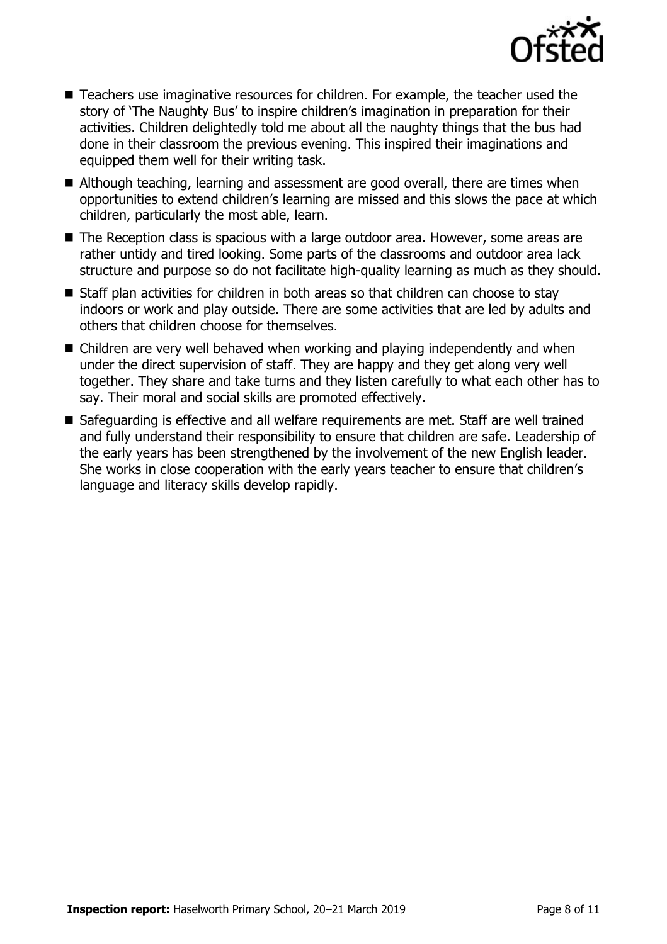

- Teachers use imaginative resources for children. For example, the teacher used the story of 'The Naughty Bus' to inspire children's imagination in preparation for their activities. Children delightedly told me about all the naughty things that the bus had done in their classroom the previous evening. This inspired their imaginations and equipped them well for their writing task.
- Although teaching, learning and assessment are good overall, there are times when opportunities to extend children's learning are missed and this slows the pace at which children, particularly the most able, learn.
- The Reception class is spacious with a large outdoor area. However, some areas are rather untidy and tired looking. Some parts of the classrooms and outdoor area lack structure and purpose so do not facilitate high-quality learning as much as they should.
- Staff plan activities for children in both areas so that children can choose to stav indoors or work and play outside. There are some activities that are led by adults and others that children choose for themselves.
- Children are very well behaved when working and playing independently and when under the direct supervision of staff. They are happy and they get along very well together. They share and take turns and they listen carefully to what each other has to say. Their moral and social skills are promoted effectively.
- Safeguarding is effective and all welfare requirements are met. Staff are well trained and fully understand their responsibility to ensure that children are safe. Leadership of the early years has been strengthened by the involvement of the new English leader. She works in close cooperation with the early years teacher to ensure that children's language and literacy skills develop rapidly.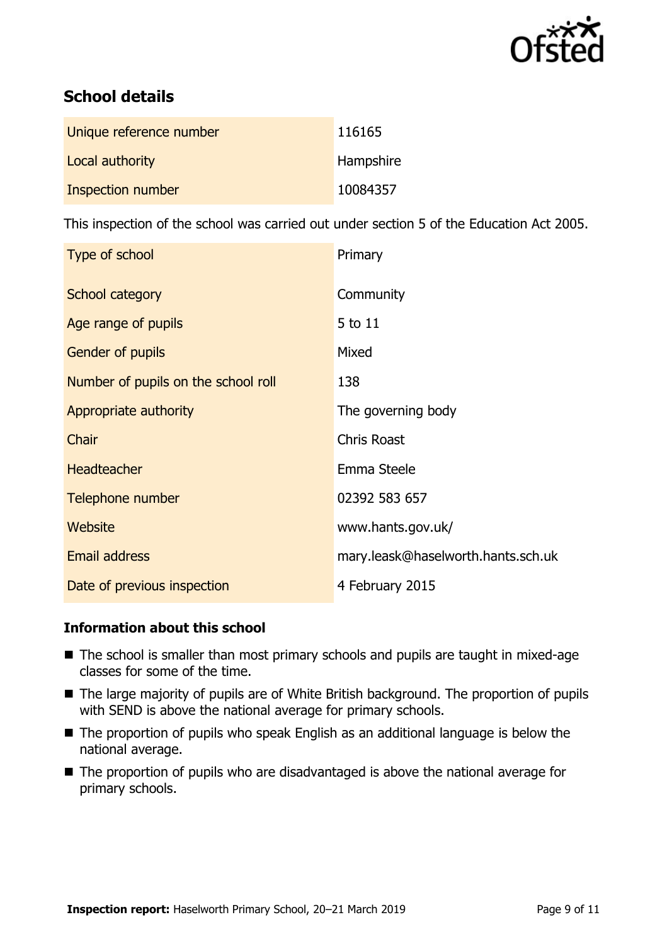

# **School details**

| Unique reference number | 116165    |
|-------------------------|-----------|
| Local authority         | Hampshire |
| Inspection number       | 10084357  |

This inspection of the school was carried out under section 5 of the Education Act 2005.

| Type of school                      | Primary                            |
|-------------------------------------|------------------------------------|
| School category                     | Community                          |
| Age range of pupils                 | 5 to 11                            |
| <b>Gender of pupils</b>             | Mixed                              |
| Number of pupils on the school roll | 138                                |
| Appropriate authority               | The governing body                 |
| Chair                               | <b>Chris Roast</b>                 |
| <b>Headteacher</b>                  | Emma Steele                        |
| Telephone number                    | 02392 583 657                      |
| Website                             | www.hants.gov.uk/                  |
| <b>Email address</b>                | mary.leask@haselworth.hants.sch.uk |
| Date of previous inspection         | 4 February 2015                    |

#### **Information about this school**

- The school is smaller than most primary schools and pupils are taught in mixed-age classes for some of the time.
- The large majority of pupils are of White British background. The proportion of pupils with SEND is above the national average for primary schools.
- The proportion of pupils who speak English as an additional language is below the national average.
- The proportion of pupils who are disadvantaged is above the national average for primary schools.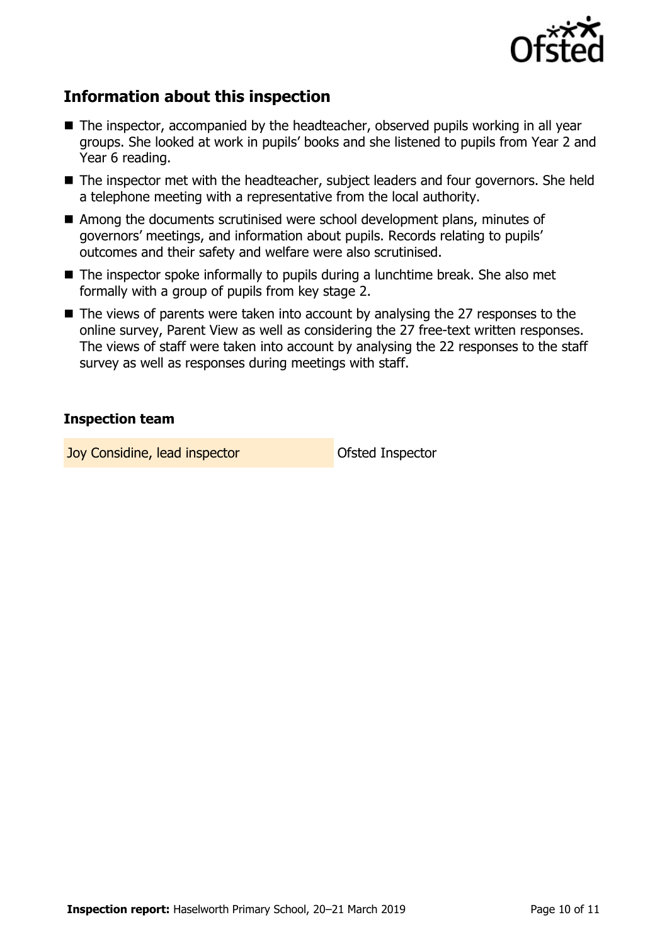

## **Information about this inspection**

- The inspector, accompanied by the headteacher, observed pupils working in all year groups. She looked at work in pupils' books and she listened to pupils from Year 2 and Year 6 reading.
- The inspector met with the headteacher, subject leaders and four governors. She held a telephone meeting with a representative from the local authority.
- Among the documents scrutinised were school development plans, minutes of governors' meetings, and information about pupils. Records relating to pupils' outcomes and their safety and welfare were also scrutinised.
- The inspector spoke informally to pupils during a lunchtime break. She also met formally with a group of pupils from key stage 2.
- The views of parents were taken into account by analysing the 27 responses to the online survey, Parent View as well as considering the 27 free-text written responses. The views of staff were taken into account by analysing the 22 responses to the staff survey as well as responses during meetings with staff.

#### **Inspection team**

**Joy Considine, lead inspector Construction** Ofsted Inspector